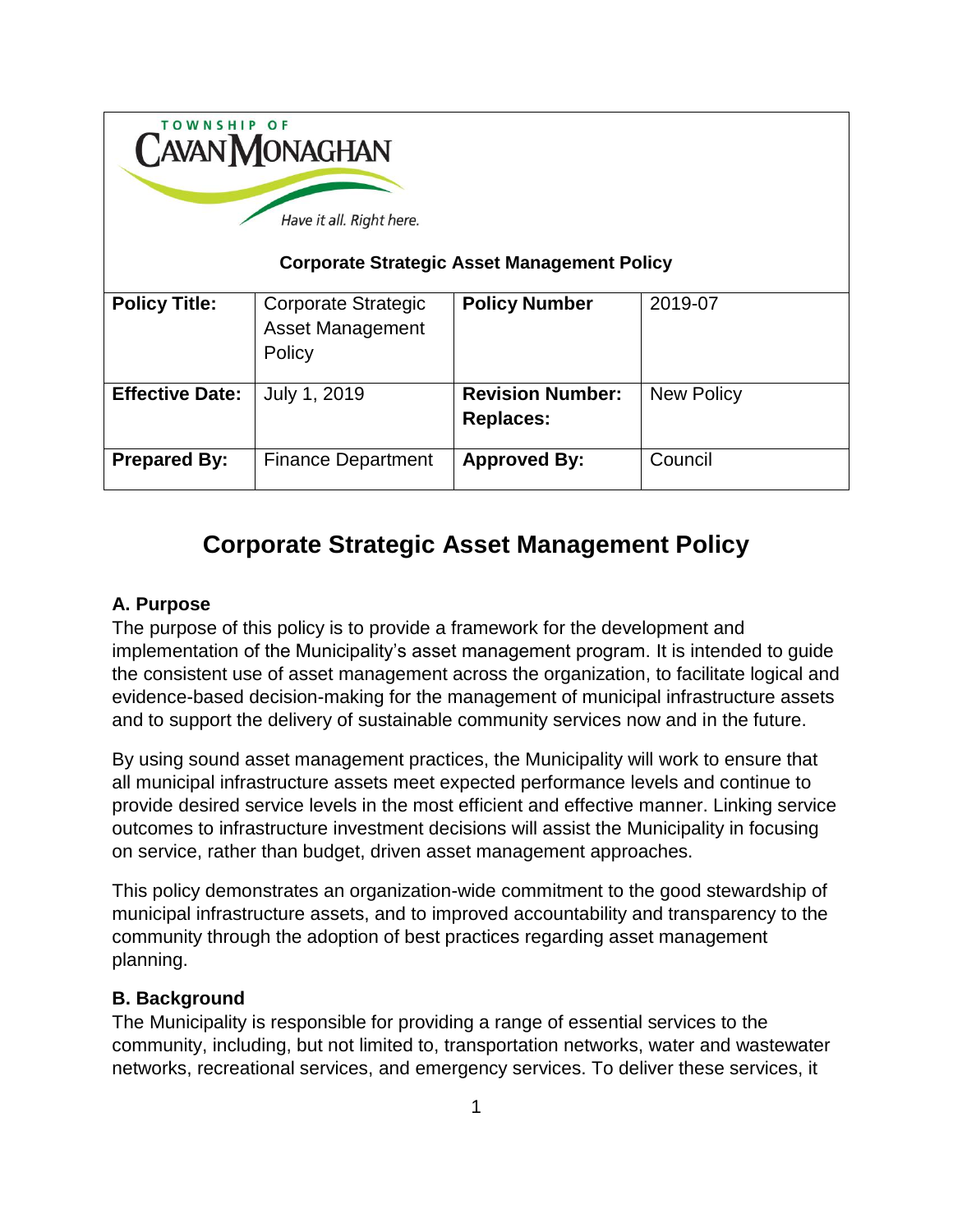| <b>TOWNSHIP OF</b><br><b>CAVAN MONAGHAN</b><br>Have it all. Right here.<br><b>Corporate Strategic Asset Management Policy</b> |                                                          |                                             |                   |
|-------------------------------------------------------------------------------------------------------------------------------|----------------------------------------------------------|---------------------------------------------|-------------------|
| <b>Policy Title:</b>                                                                                                          | Corporate Strategic<br><b>Asset Management</b><br>Policy | <b>Policy Number</b>                        | 2019-07           |
| <b>Effective Date:</b>                                                                                                        | July 1, 2019                                             | <b>Revision Number:</b><br><b>Replaces:</b> | <b>New Policy</b> |
| <b>Prepared By:</b>                                                                                                           | <b>Finance Department</b>                                | <b>Approved By:</b>                         | Council           |

# **Corporate Strategic Asset Management Policy**

#### **A. Purpose**

The purpose of this policy is to provide a framework for the development and implementation of the Municipality's asset management program. It is intended to guide the consistent use of asset management across the organization, to facilitate logical and evidence-based decision-making for the management of municipal infrastructure assets and to support the delivery of sustainable community services now and in the future.

By using sound asset management practices, the Municipality will work to ensure that all municipal infrastructure assets meet expected performance levels and continue to provide desired service levels in the most efficient and effective manner. Linking service outcomes to infrastructure investment decisions will assist the Municipality in focusing on service, rather than budget, driven asset management approaches.

This policy demonstrates an organization-wide commitment to the good stewardship of municipal infrastructure assets, and to improved accountability and transparency to the community through the adoption of best practices regarding asset management planning.

#### **B. Background**

The Municipality is responsible for providing a range of essential services to the community, including, but not limited to, transportation networks, water and wastewater networks, recreational services, and emergency services. To deliver these services, it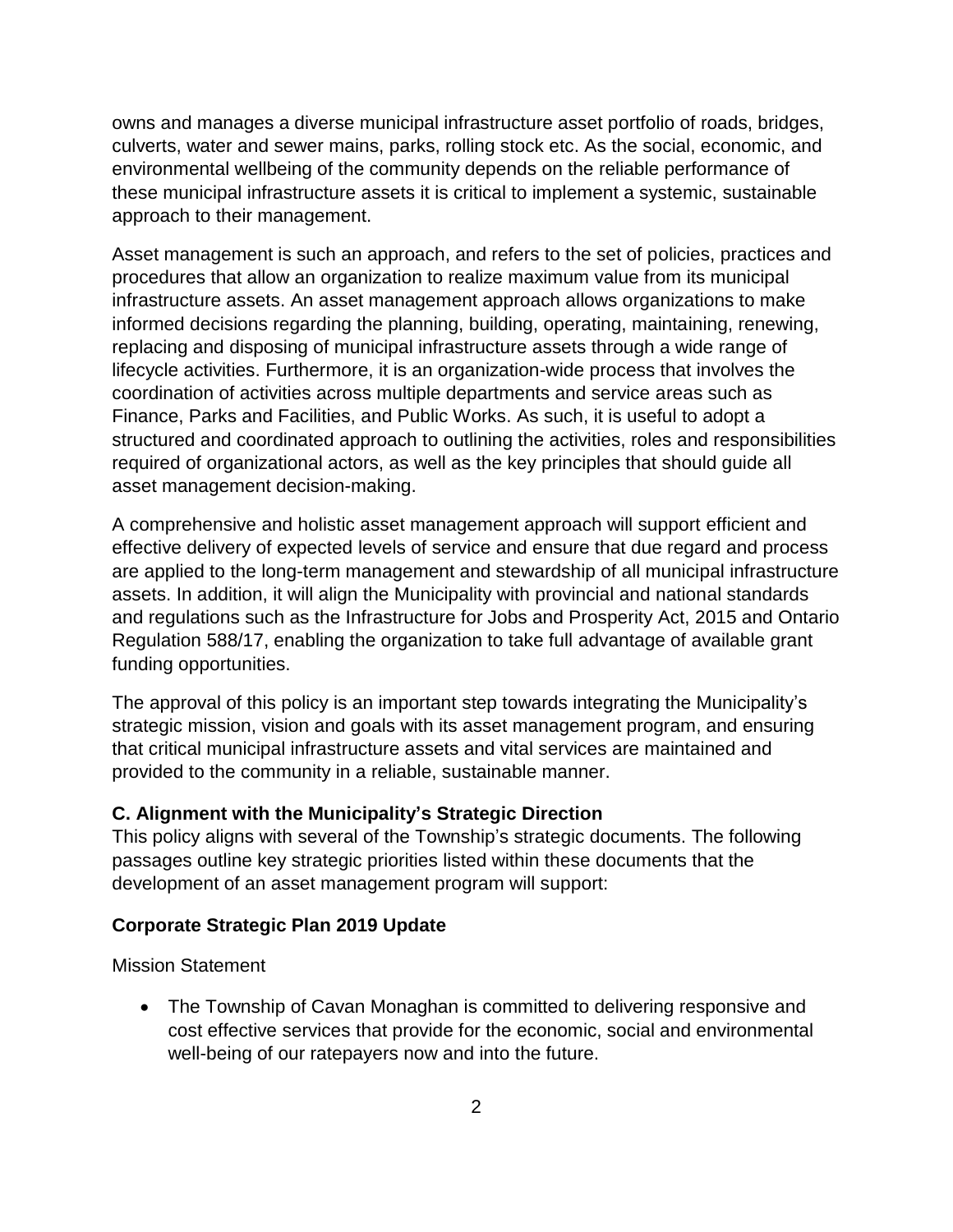owns and manages a diverse municipal infrastructure asset portfolio of roads, bridges, culverts, water and sewer mains, parks, rolling stock etc. As the social, economic, and environmental wellbeing of the community depends on the reliable performance of these municipal infrastructure assets it is critical to implement a systemic, sustainable approach to their management.

Asset management is such an approach, and refers to the set of policies, practices and procedures that allow an organization to realize maximum value from its municipal infrastructure assets. An asset management approach allows organizations to make informed decisions regarding the planning, building, operating, maintaining, renewing, replacing and disposing of municipal infrastructure assets through a wide range of lifecycle activities. Furthermore, it is an organization-wide process that involves the coordination of activities across multiple departments and service areas such as Finance, Parks and Facilities, and Public Works. As such, it is useful to adopt a structured and coordinated approach to outlining the activities, roles and responsibilities required of organizational actors, as well as the key principles that should guide all asset management decision-making.

A comprehensive and holistic asset management approach will support efficient and effective delivery of expected levels of service and ensure that due regard and process are applied to the long-term management and stewardship of all municipal infrastructure assets. In addition, it will align the Municipality with provincial and national standards and regulations such as the Infrastructure for Jobs and Prosperity Act, 2015 and Ontario Regulation 588/17, enabling the organization to take full advantage of available grant funding opportunities.

The approval of this policy is an important step towards integrating the Municipality's strategic mission, vision and goals with its asset management program, and ensuring that critical municipal infrastructure assets and vital services are maintained and provided to the community in a reliable, sustainable manner.

#### **C. Alignment with the Municipality's Strategic Direction**

This policy aligns with several of the Township's strategic documents. The following passages outline key strategic priorities listed within these documents that the development of an asset management program will support:

#### **Corporate Strategic Plan 2019 Update**

Mission Statement

• The Township of Cavan Monaghan is committed to delivering responsive and cost effective services that provide for the economic, social and environmental well-being of our ratepayers now and into the future.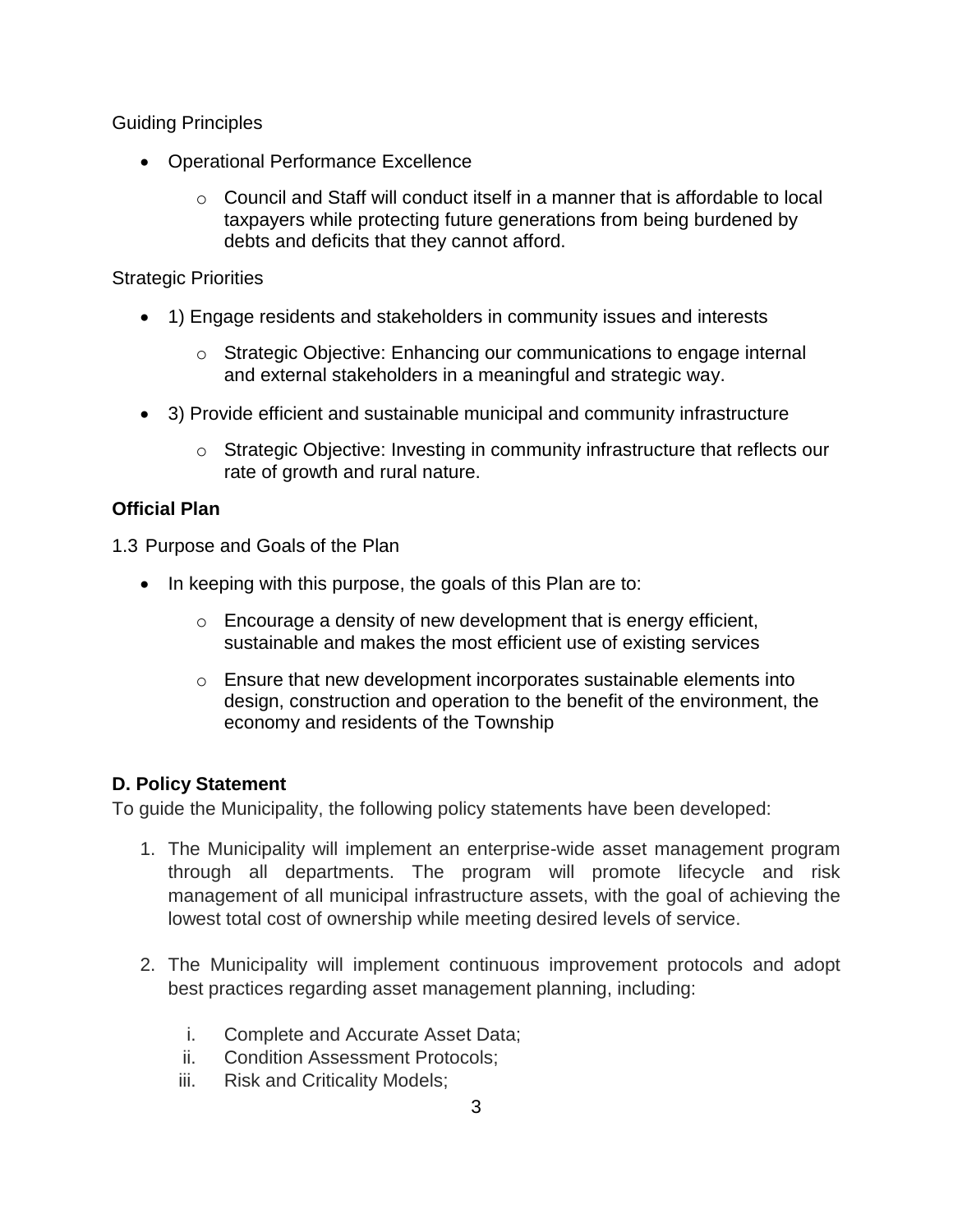Guiding Principles

- Operational Performance Excellence
	- $\circ$  Council and Staff will conduct itself in a manner that is affordable to local taxpayers while protecting future generations from being burdened by debts and deficits that they cannot afford.

### Strategic Priorities

- 1) Engage residents and stakeholders in community issues and interests
	- $\circ$  Strategic Objective: Enhancing our communications to engage internal and external stakeholders in a meaningful and strategic way.
- 3) Provide efficient and sustainable municipal and community infrastructure
	- $\circ$  Strategic Objective: Investing in community infrastructure that reflects our rate of growth and rural nature.

# **Official Plan**

1.3 Purpose and Goals of the Plan

- In keeping with this purpose, the goals of this Plan are to:
	- $\circ$  Encourage a density of new development that is energy efficient, sustainable and makes the most efficient use of existing services
	- o Ensure that new development incorporates sustainable elements into design, construction and operation to the benefit of the environment, the economy and residents of the Township

# **D. Policy Statement**

To guide the Municipality, the following policy statements have been developed:

- 1. The Municipality will implement an enterprise-wide asset management program through all departments. The program will promote lifecycle and risk management of all municipal infrastructure assets, with the goal of achieving the lowest total cost of ownership while meeting desired levels of service.
- 2. The Municipality will implement continuous improvement protocols and adopt best practices regarding asset management planning, including:
	- i. Complete and Accurate Asset Data;
	- ii. Condition Assessment Protocols;
	- iii. Risk and Criticality Models;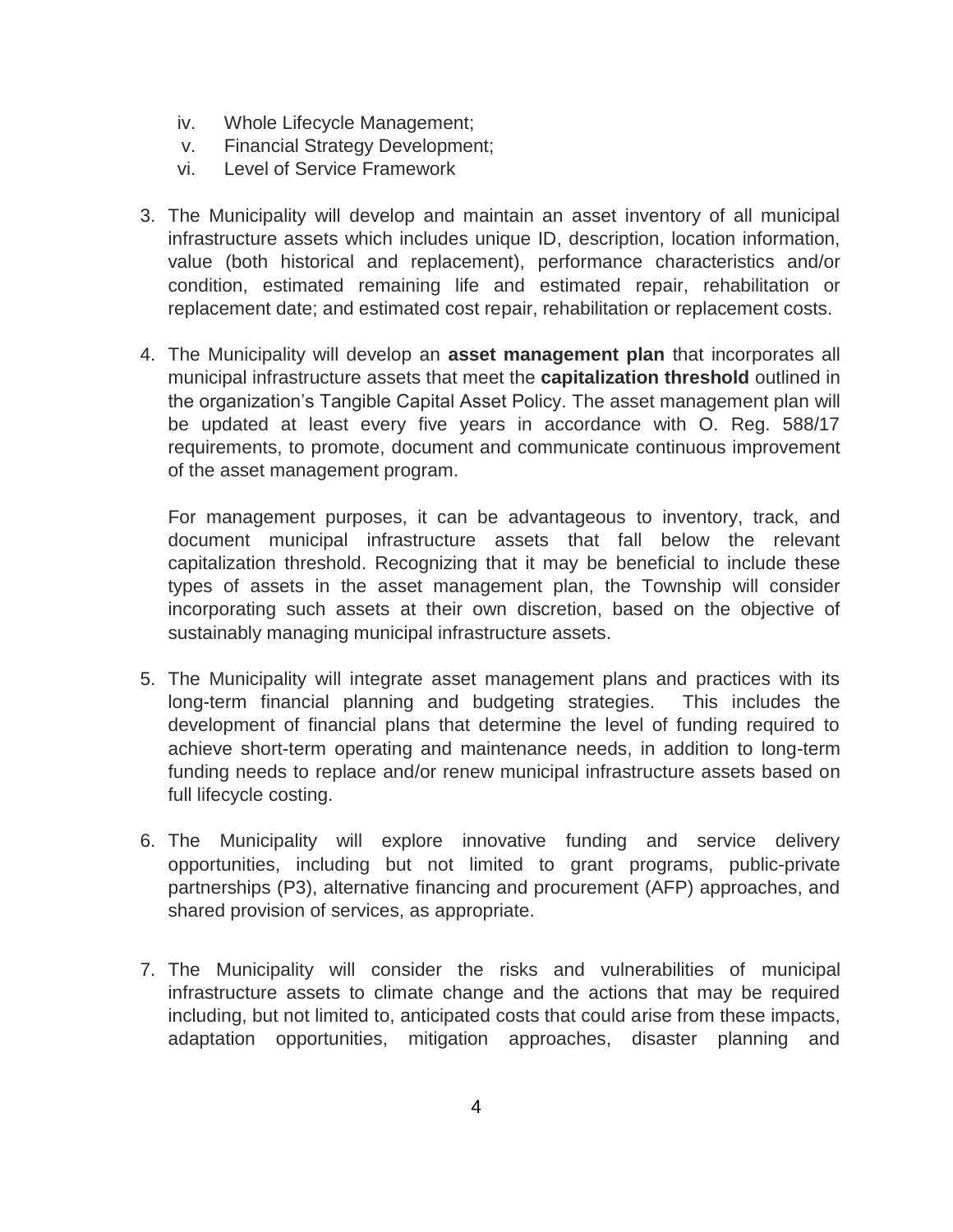- iv. Whole Lifecycle Management;
- v. Financial Strategy Development;
- vi. Level of Service Framework
- 3. The Municipality will develop and maintain an asset inventory of all municipal infrastructure assets which includes unique ID, description, location information, value (both historical and replacement), performance characteristics and/or condition, estimated remaining life and estimated repair, rehabilitation or replacement date; and estimated cost repair, rehabilitation or replacement costs.
- 4. The Municipality will develop an **asset management plan** that incorporates all municipal infrastructure assets that meet the **capitalization threshold** outlined in the organization's Tangible Capital Asset Policy. The asset management plan will be updated at least every five years in accordance with O. Reg. 588/17 requirements, to promote, document and communicate continuous improvement of the asset management program.

For management purposes, it can be advantageous to inventory, track, and document municipal infrastructure assets that fall below the relevant capitalization threshold. Recognizing that it may be beneficial to include these types of assets in the asset management plan, the Township will consider incorporating such assets at their own discretion, based on the objective of sustainably managing municipal infrastructure assets.

- 5. The Municipality will integrate asset management plans and practices with its long-term financial planning and budgeting strategies. This includes the development of financial plans that determine the level of funding required to achieve short-term operating and maintenance needs, in addition to long-term funding needs to replace and/or renew municipal infrastructure assets based on full lifecycle costing.
- 6. The Municipality will explore innovative funding and service delivery opportunities, including but not limited to grant programs, public-private partnerships (P3), alternative financing and procurement (AFP) approaches, and shared provision of services, as appropriate.
- 7. The Municipality will consider the risks and vulnerabilities of municipal infrastructure assets to climate change and the actions that may be required including, but not limited to, anticipated costs that could arise from these impacts, adaptation opportunities, mitigation approaches, disaster planning and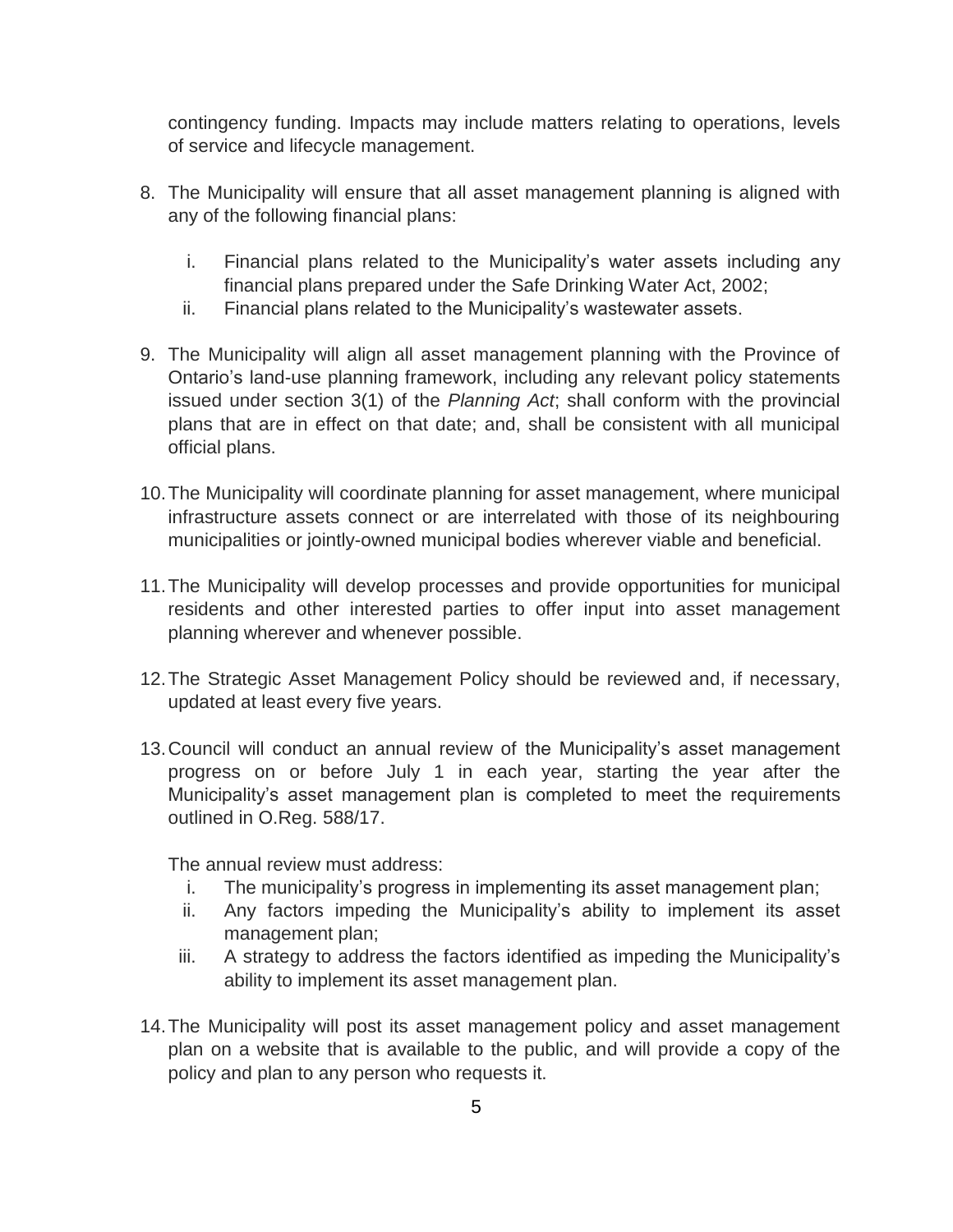contingency funding. Impacts may include matters relating to operations, levels of service and lifecycle management.

- 8. The Municipality will ensure that all asset management planning is aligned with any of the following financial plans:
	- i. Financial plans related to the Municipality's water assets including any financial plans prepared under the Safe Drinking Water Act, 2002;
	- ii. Financial plans related to the Municipality's wastewater assets.
- 9. The Municipality will align all asset management planning with the Province of Ontario's land-use planning framework, including any relevant policy statements issued under section 3(1) of the *Planning Act*; shall conform with the provincial plans that are in effect on that date; and, shall be consistent with all municipal official plans.
- 10.The Municipality will coordinate planning for asset management, where municipal infrastructure assets connect or are interrelated with those of its neighbouring municipalities or jointly-owned municipal bodies wherever viable and beneficial.
- 11.The Municipality will develop processes and provide opportunities for municipal residents and other interested parties to offer input into asset management planning wherever and whenever possible.
- 12.The Strategic Asset Management Policy should be reviewed and, if necessary, updated at least every five years.
- 13.Council will conduct an annual review of the Municipality's asset management progress on or before July 1 in each year, starting the year after the Municipality's asset management plan is completed to meet the requirements outlined in O.Reg. 588/17.

The annual review must address:

- i. The municipality's progress in implementing its asset management plan;
- ii. Any factors impeding the Municipality's ability to implement its asset management plan;
- iii. A strategy to address the factors identified as impeding the Municipality's ability to implement its asset management plan.
- 14.The Municipality will post its asset management policy and asset management plan on a website that is available to the public, and will provide a copy of the policy and plan to any person who requests it.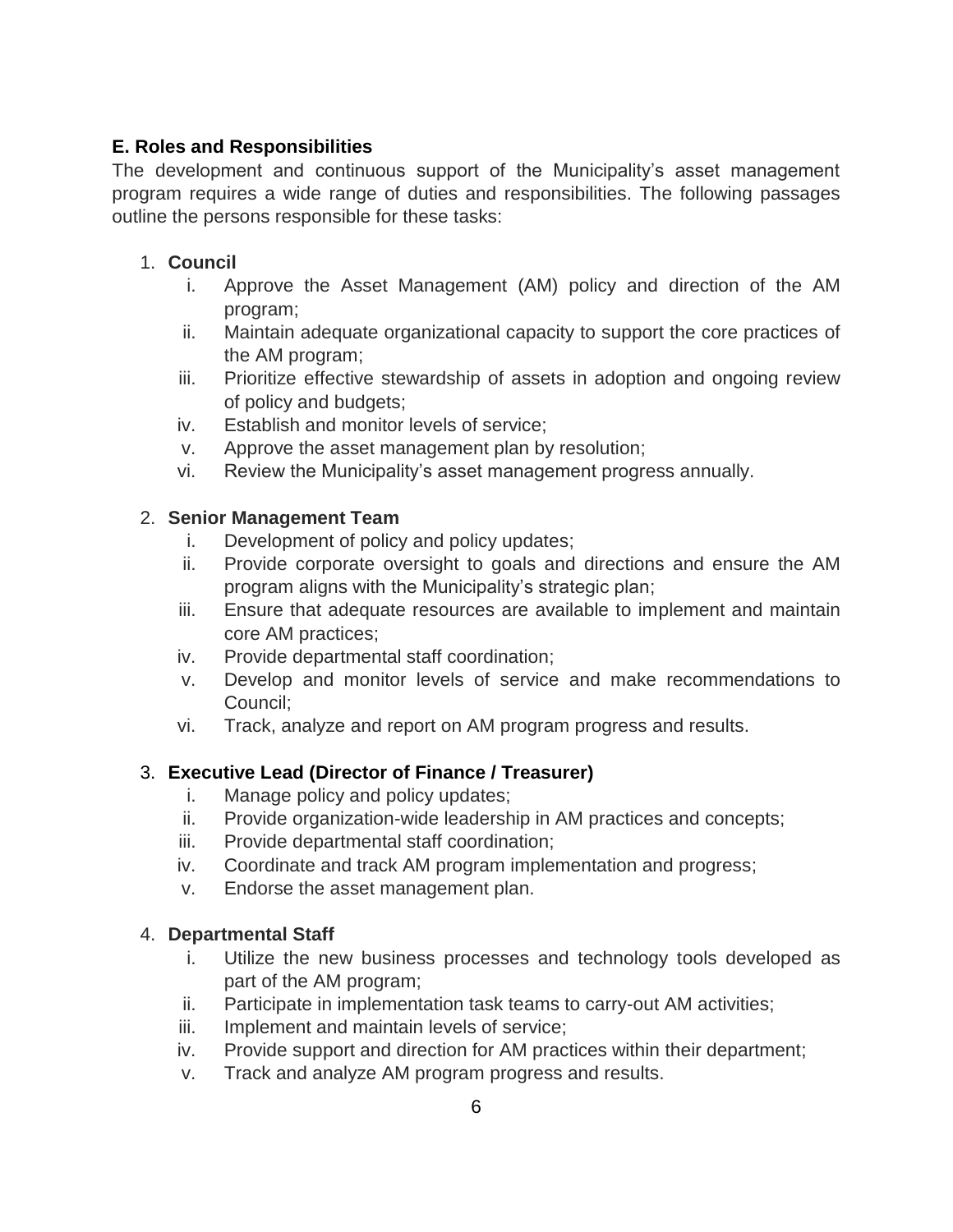## **E. Roles and Responsibilities**

The development and continuous support of the Municipality's asset management program requires a wide range of duties and responsibilities. The following passages outline the persons responsible for these tasks:

## 1. **Council**

- i. Approve the Asset Management (AM) policy and direction of the AM program;
- ii. Maintain adequate organizational capacity to support the core practices of the AM program;
- iii. Prioritize effective stewardship of assets in adoption and ongoing review of policy and budgets;
- iv. Establish and monitor levels of service;
- v. Approve the asset management plan by resolution;
- vi. Review the Municipality's asset management progress annually.

## 2. **Senior Management Team**

- i. Development of policy and policy updates;
- ii. Provide corporate oversight to goals and directions and ensure the AM program aligns with the Municipality's strategic plan;
- iii. Ensure that adequate resources are available to implement and maintain core AM practices;
- iv. Provide departmental staff coordination;
- v. Develop and monitor levels of service and make recommendations to Council;
- vi. Track, analyze and report on AM program progress and results.

# 3. **Executive Lead (Director of Finance / Treasurer)**

- i. Manage policy and policy updates;
- ii. Provide organization-wide leadership in AM practices and concepts;
- iii. Provide departmental staff coordination;
- iv. Coordinate and track AM program implementation and progress;
- v. Endorse the asset management plan.

### 4. **Departmental Staff**

- i. Utilize the new business processes and technology tools developed as part of the AM program;
- ii. Participate in implementation task teams to carry-out AM activities;
- iii. Implement and maintain levels of service;
- iv. Provide support and direction for AM practices within their department;
- v. Track and analyze AM program progress and results.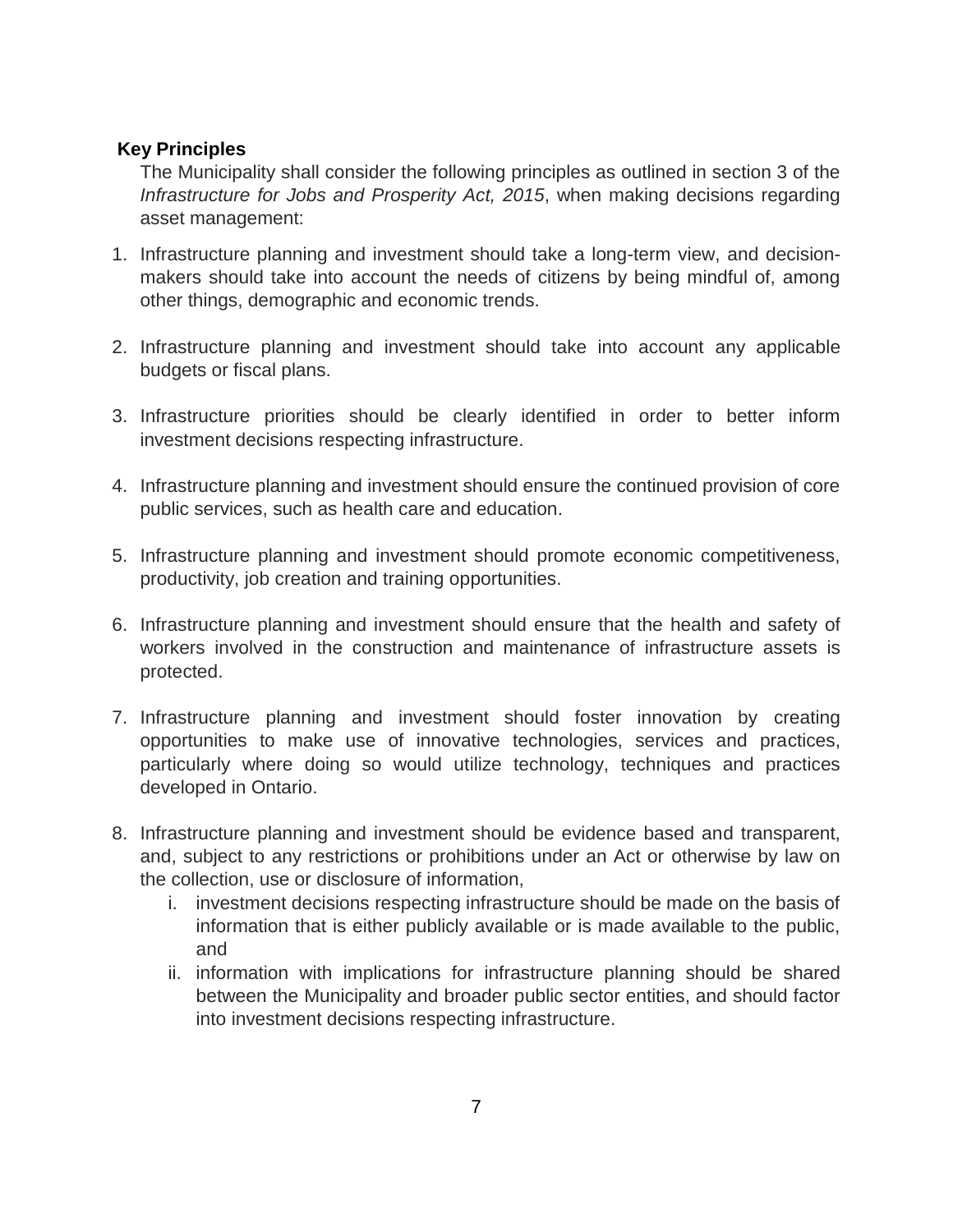#### **Key Principles**

The Municipality shall consider the following principles as outlined in section 3 of the *Infrastructure for Jobs and Prosperity Act, 2015*, when making decisions regarding asset management:

- 1. Infrastructure planning and investment should take a long-term view, and decisionmakers should take into account the needs of citizens by being mindful of, among other things, demographic and economic trends.
- 2. Infrastructure planning and investment should take into account any applicable budgets or fiscal plans.
- 3. Infrastructure priorities should be clearly identified in order to better inform investment decisions respecting infrastructure.
- 4. Infrastructure planning and investment should ensure the continued provision of core public services, such as health care and education.
- 5. Infrastructure planning and investment should promote economic competitiveness, productivity, job creation and training opportunities.
- 6. Infrastructure planning and investment should ensure that the health and safety of workers involved in the construction and maintenance of infrastructure assets is protected.
- 7. Infrastructure planning and investment should foster innovation by creating opportunities to make use of innovative technologies, services and practices, particularly where doing so would utilize technology, techniques and practices developed in Ontario.
- 8. Infrastructure planning and investment should be evidence based and transparent, and, subject to any restrictions or prohibitions under an Act or otherwise by law on the collection, use or disclosure of information,
	- i. investment decisions respecting infrastructure should be made on the basis of information that is either publicly available or is made available to the public, and
	- ii. information with implications for infrastructure planning should be shared between the Municipality and broader public sector entities, and should factor into investment decisions respecting infrastructure.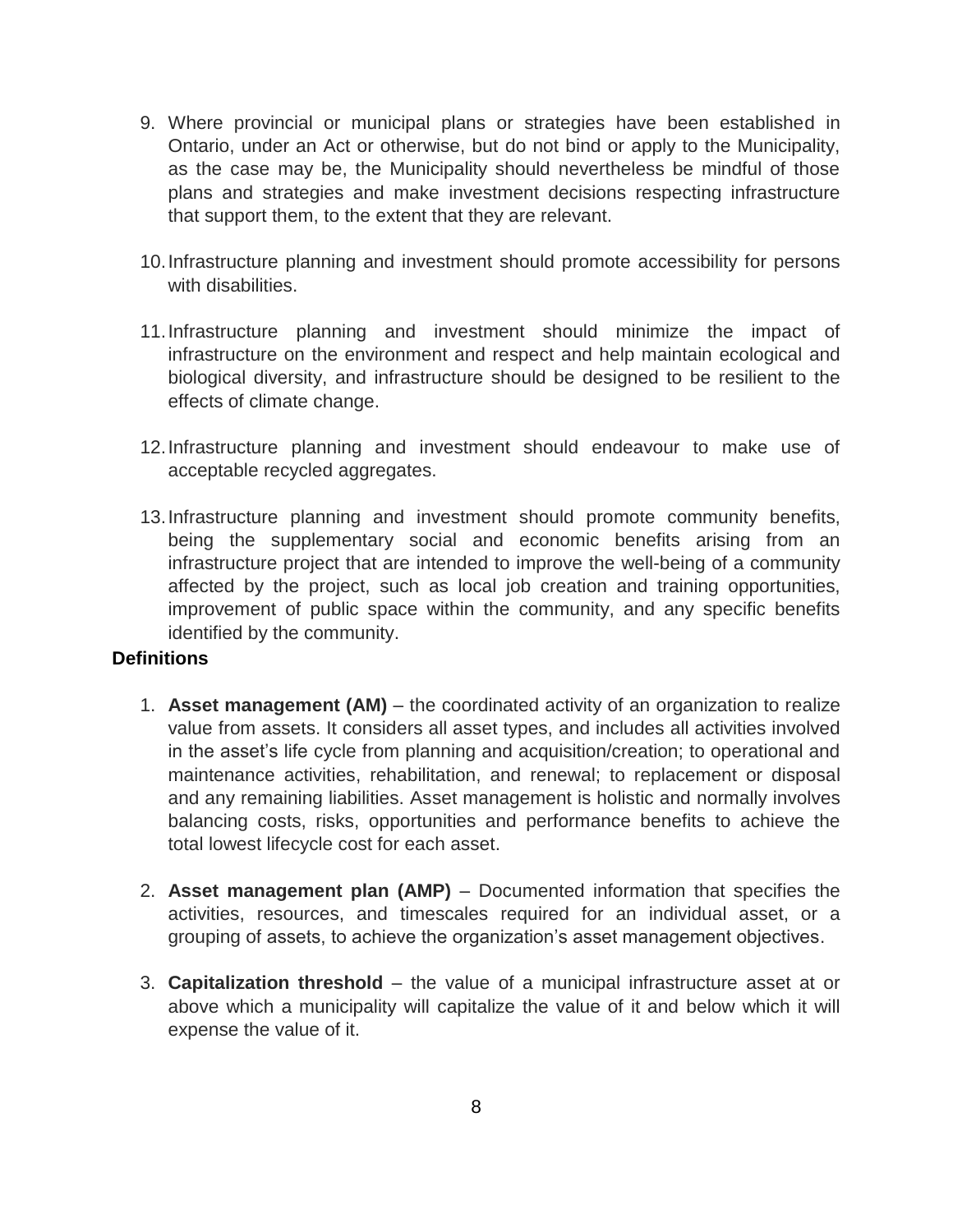- 9. Where provincial or municipal plans or strategies have been established in Ontario, under an Act or otherwise, but do not bind or apply to the Municipality, as the case may be, the Municipality should nevertheless be mindful of those plans and strategies and make investment decisions respecting infrastructure that support them, to the extent that they are relevant.
- 10.Infrastructure planning and investment should promote accessibility for persons with disabilities.
- 11.Infrastructure planning and investment should minimize the impact of infrastructure on the environment and respect and help maintain ecological and biological diversity, and infrastructure should be designed to be resilient to the effects of climate change.
- 12.Infrastructure planning and investment should endeavour to make use of acceptable recycled aggregates.
- 13.Infrastructure planning and investment should promote community benefits, being the supplementary social and economic benefits arising from an infrastructure project that are intended to improve the well-being of a community affected by the project, such as local job creation and training opportunities, improvement of public space within the community, and any specific benefits identified by the community.

#### **Definitions**

- 1. **Asset management (AM)** the coordinated activity of an organization to realize value from assets. It considers all asset types, and includes all activities involved in the asset's life cycle from planning and acquisition/creation; to operational and maintenance activities, rehabilitation, and renewal; to replacement or disposal and any remaining liabilities. Asset management is holistic and normally involves balancing costs, risks, opportunities and performance benefits to achieve the total lowest lifecycle cost for each asset.
- 2. **Asset management plan (AMP)** Documented information that specifies the activities, resources, and timescales required for an individual asset, or a grouping of assets, to achieve the organization's asset management objectives.
- 3. **Capitalization threshold** the value of a municipal infrastructure asset at or above which a municipality will capitalize the value of it and below which it will expense the value of it.